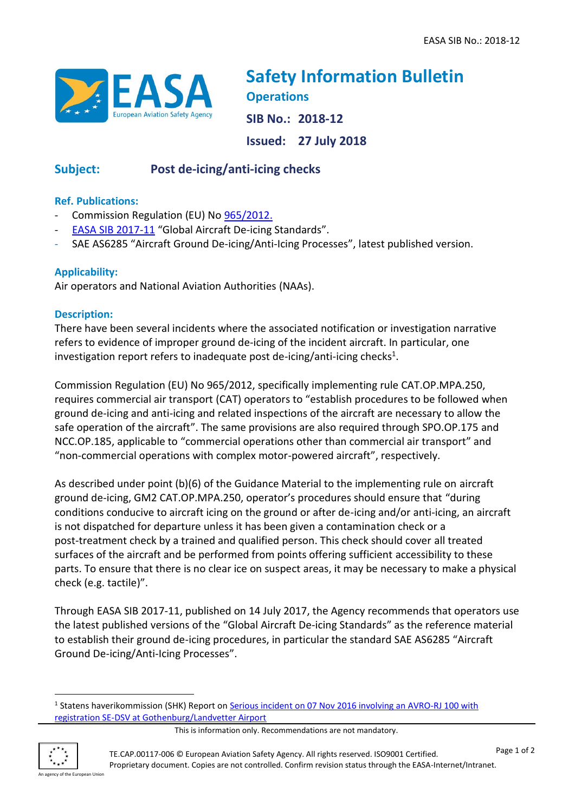

# **Safety Information Bulletin Operations**

**SIB No.: 2018-12**

**Issued: 27 July 2018**

## **Subject: Post de-icing/anti-icing checks**

### **Ref. Publications:**

- Commission Regulation (EU) No [965/2012.](https://www.easa.europa.eu/regulations)
- [EASA SIB 2017-11](https://ad.easa.europa.eu/ad/2017-11) "Global Aircraft De-icing Standards".
- SAE AS6285 "Aircraft Ground De-icing/Anti-Icing Processes", latest published version.

### **Applicability:**

Air operators and National Aviation Authorities (NAAs).

#### **Description:**

There have been several incidents where the associated notification or investigation narrative refers to evidence of improper ground de-icing of the incident aircraft. In particular, one investigation report refers to inadequate post de-icing/anti-icing checks<sup>1</sup>.

Commission Regulation (EU) No 965/2012, specifically implementing rule CAT.OP.MPA.250, requires commercial air transport (CAT) operators to "establish procedures to be followed when ground de-icing and anti-icing and related inspections of the aircraft are necessary to allow the safe operation of the aircraft". The same provisions are also required through SPO.OP.175 and NCC.OP.185, applicable to "commercial operations other than commercial air transport" and "non-commercial operations with complex motor-powered aircraft", respectively.

As described under point (b)(6) of the Guidance Material to the implementing rule on aircraft ground de-icing, GM2 CAT.OP.MPA.250, operator's procedures should ensure that "during conditions conducive to aircraft icing on the ground or after de-icing and/or anti-icing, an aircraft is not dispatched for departure unless it has been given a contamination check or a post-treatment check by a trained and qualified person. This check should cover all treated surfaces of the aircraft and be performed from points offering sufficient accessibility to these parts. To ensure that there is no clear ice on suspect areas, it may be necessary to make a physical check (e.g. tactile)".

Through EASA SIB 2017-11, published on 14 July 2017, the Agency recommends that operators use the latest published versions of the "Global Aircraft De-icing Standards" as the reference material to establish their ground de-icing procedures, in particular the standard SAE AS6285 "Aircraft Ground De-icing/Anti-Icing Processes".

This is information only. Recommendations are not mandatory.



**.** 

<sup>&</sup>lt;sup>1</sup> Statens haverikommission (SHK) Report on **Serious incident on 07 Nov 2016 involving an AVRO-RJ 100 with** [registration SE-DSV at Gothenburg/Landvetter Airport](https://www.havkom.se/en/investigations/civil-luftfart/allvarligt-tillbud-med-flygplanet-scwib-rjih-m-vid-goeteborg-landvetter-flygplats)